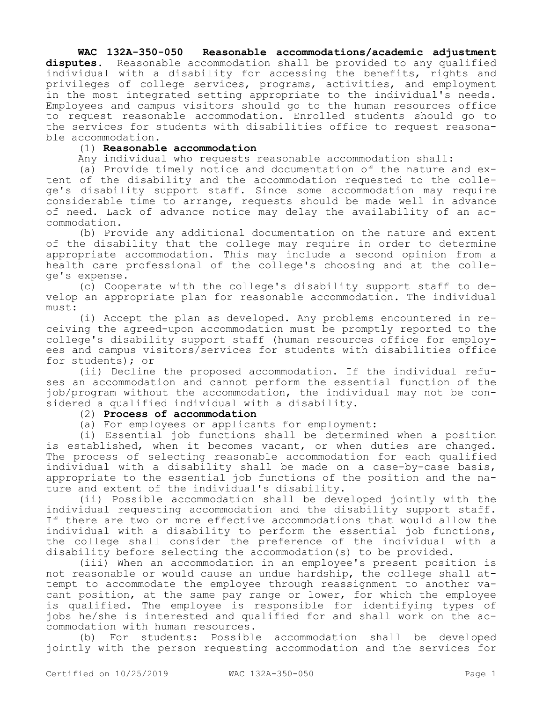# **WAC 132A-350-050 Reasonable accommodations/academic adjustment disputes.** Reasonable accommodation shall be provided to any qualified individual with a disability for accessing the benefits, rights and privileges of college services, programs, activities, and employment in the most integrated setting appropriate to the individual's needs. Employees and campus visitors should go to the human resources office to request reasonable accommodation. Enrolled students should go to the services for students with disabilities office to request reasonable accommodation.

## (1) **Reasonable accommodation**

Any individual who requests reasonable accommodation shall:

(a) Provide timely notice and documentation of the nature and extent of the disability and the accommodation requested to the college's disability support staff. Since some accommodation may require considerable time to arrange, requests should be made well in advance of need. Lack of advance notice may delay the availability of an accommodation.

(b) Provide any additional documentation on the nature and extent of the disability that the college may require in order to determine appropriate accommodation. This may include a second opinion from a health care professional of the college's choosing and at the college's expense.

(c) Cooperate with the college's disability support staff to develop an appropriate plan for reasonable accommodation. The individual must:

(i) Accept the plan as developed. Any problems encountered in receiving the agreed-upon accommodation must be promptly reported to the college's disability support staff (human resources office for employees and campus visitors/services for students with disabilities office for students); or

(ii) Decline the proposed accommodation. If the individual refuses an accommodation and cannot perform the essential function of the job/program without the accommodation, the individual may not be considered a qualified individual with a disability.

# (2) **Process of accommodation**

(a) For employees or applicants for employment:

(i) Essential job functions shall be determined when a position is established, when it becomes vacant, or when duties are changed. The process of selecting reasonable accommodation for each qualified individual with a disability shall be made on a case-by-case basis, appropriate to the essential job functions of the position and the nature and extent of the individual's disability.

(ii) Possible accommodation shall be developed jointly with the individual requesting accommodation and the disability support staff. If there are two or more effective accommodations that would allow the individual with a disability to perform the essential job functions, the college shall consider the preference of the individual with a disability before selecting the accommodation(s) to be provided.

(iii) When an accommodation in an employee's present position is not reasonable or would cause an undue hardship, the college shall attempt to accommodate the employee through reassignment to another vacant position, at the same pay range or lower, for which the employee is qualified. The employee is responsible for identifying types of jobs he/she is interested and qualified for and shall work on the accommodation with human resources.

(b) For students: Possible accommodation shall be developed jointly with the person requesting accommodation and the services for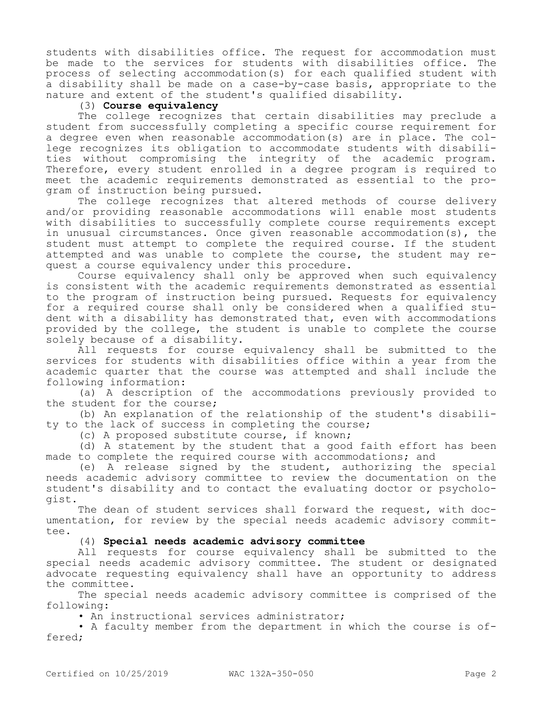students with disabilities office. The request for accommodation must be made to the services for students with disabilities office. The process of selecting accommodation(s) for each qualified student with a disability shall be made on a case-by-case basis, appropriate to the nature and extent of the student's qualified disability.

# (3) **Course equivalency**

The college recognizes that certain disabilities may preclude a student from successfully completing a specific course requirement for a degree even when reasonable accommodation(s) are in place. The college recognizes its obligation to accommodate students with disabilities without compromising the integrity of the academic program. Therefore, every student enrolled in a degree program is required to meet the academic requirements demonstrated as essential to the program of instruction being pursued.

The college recognizes that altered methods of course delivery and/or providing reasonable accommodations will enable most students with disabilities to successfully complete course requirements except in unusual circumstances. Once given reasonable accommodation(s), the student must attempt to complete the required course. If the student attempted and was unable to complete the course, the student may request a course equivalency under this procedure.

Course equivalency shall only be approved when such equivalency is consistent with the academic requirements demonstrated as essential to the program of instruction being pursued. Requests for equivalency for a required course shall only be considered when a qualified student with a disability has demonstrated that, even with accommodations provided by the college, the student is unable to complete the course solely because of a disability.

All requests for course equivalency shall be submitted to the services for students with disabilities office within a year from the academic quarter that the course was attempted and shall include the following information:

(a) A description of the accommodations previously provided to the student for the course;

(b) An explanation of the relationship of the student's disability to the lack of success in completing the course;

(c) A proposed substitute course, if known;

(d) A statement by the student that a good faith effort has been made to complete the required course with accommodations; and

(e) A release signed by the student, authorizing the special needs academic advisory committee to review the documentation on the student's disability and to contact the evaluating doctor or psychologist.

The dean of student services shall forward the request, with documentation, for review by the special needs academic advisory committee.

(4) **Special needs academic advisory committee**

All requests for course equivalency shall be submitted to the special needs academic advisory committee. The student or designated advocate requesting equivalency shall have an opportunity to address the committee.

The special needs academic advisory committee is comprised of the following:

• An instructional services administrator;

• A faculty member from the department in which the course is offered;